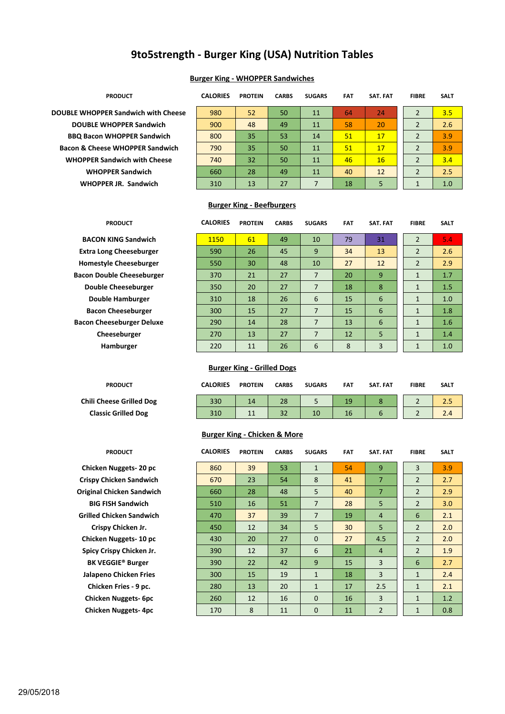# **9to5strength - Burger King (USA) Nutrition Tables**

### **Burger King - WHOPPER Sandwiches**

| <b>PRODUCT</b>                             | <b>CALORIES</b> | <b>PROTEIN</b> | <b>CARBS</b> | <b>SUGARS</b> | <b>FAT</b> | SAT. FAT  | <b>FIBRE</b>   | <b>SALT</b> |
|--------------------------------------------|-----------------|----------------|--------------|---------------|------------|-----------|----------------|-------------|
| <b>DOUBLE WHOPPER Sandwich with Cheese</b> | 980             | 52             | 50           | 11            | 64         | 24        |                | 3.5         |
| <b>DOUBLE WHOPPER Sandwich</b>             | 900             | 48             | 49           | 11            | 58         | 20        |                | 2.6         |
| <b>BBQ Bacon WHOPPER Sandwich</b>          | 800             | 35             | 53           | 14            | 51         | 17        | $\overline{2}$ | 3.9         |
| <b>Bacon &amp; Cheese WHOPPER Sandwich</b> | 790             | 35             | 50           | 11            | 51         | 17        |                | 3.9         |
| <b>WHOPPER Sandwich with Cheese</b>        | 740             | 32             | 50           | 11            | 46         | <b>16</b> |                | 3.4         |
| <b>WHOPPER Sandwich</b>                    | 660             | 28             | 49           | 11            | 40         | 12        | $\overline{2}$ | 2.5         |
| <b>WHOPPER JR. Sandwich</b>                | 310             | 13             | 27           |               | 18         | 5         |                | 1.0         |

### **Burger King - Beefburgers**

| <b>PRODUCT</b>       | <b>CALORIES</b> | <b>PROTEIN</b> | <b>CARBS</b> | <b>SUGARS</b>  | <b>FAT</b> | <b>SAT. FAT</b> | <b>FIBRE</b>   | <b>SALT</b> |
|----------------------|-----------------|----------------|--------------|----------------|------------|-----------------|----------------|-------------|
| <b>KING Sandwich</b> | 1150            | 61             | 49           | 10             | 79         | 31              | $\overline{2}$ | 5.4         |
| ng Cheeseburger      | 590             | 26             | 45           | 9              | 34         | 13              | $\mathcal{P}$  | 2.6         |
| le Cheeseburger      | 550             | 30             | 48           | 10             | 27         | 12              | $\overline{2}$ | 2.9         |
| uble Cheeseburger    | 370             | 21             | 27           | $\overline{7}$ | 20         | 9               | $\mathbf{1}$   | 1.7         |
| <b>Cheeseburger</b>  | 350             | 20             | 27           | $\overline{7}$ | 18         | 8               | $\mathbf{1}$   | 1.5         |
| le Hamburger         | 310             | 18             | 26           | 6              | 15         | 6               | $\mathbf{1}$   | 1.0         |
| Cheeseburger         | 300             | 15             | 27           | $\overline{7}$ | 15         | $6\phantom{1}6$ | $\mathbf{1}$   | 1.8         |
| eseburger Deluxe     | 290             | 14             | 28           | 7              | 13         | 6               | $\mathbf{1}$   | 1.6         |
| eeseburger           | 270             | 13             | 27           | $\overline{7}$ | 12         | 5               | $\mathbf{1}$   | 1.4         |
| amburger             | 220             | 11             | 26           | 6              | 8          | 3               | $\mathbf{1}$   | 1.0         |
|                      |                 |                |              |                |            |                 |                |             |

# **Burger King - Grilled Dogs**

| <b>PRODUCT</b>   | <b>CALORIES</b> | <b>PROTEIN</b> | <b>CARBS</b> | <b>SUGARS</b> | <b>FAT</b> | SAT. FAT | <b>FIBRE</b> | <b>SALT</b> |
|------------------|-----------------|----------------|--------------|---------------|------------|----------|--------------|-------------|
| eese Grilled Dog | 330             | 14             | 28           |               | 19         |          |              |             |
| ic Grilled Dog   | 310             | 11             | 32           | 10            | 16         |          |              |             |

### **Burger King - Chicken & More**

| <b>PRODUCT</b>    | <b>CALORIES</b> | <b>PROTEIN</b> | <b>CARBS</b> | <b>SUGARS</b>  | <b>FAT</b> | SAT. FAT       | <b>FIBRE</b>   | <b>SALT</b> |
|-------------------|-----------------|----------------|--------------|----------------|------------|----------------|----------------|-------------|
| Nuggets-20 pc     | 860             | 39             | 53           | $\mathbf{1}$   | 54         | 9              | $\overline{3}$ | 3.9         |
| hicken Sandwich   | 670             | 23             | 54           | 8              | 41         | $\overline{7}$ | $\overline{2}$ | 2.7         |
| Chicken Sandwich  | 660             | 28             | 48           | 5              | 40         | $\overline{7}$ | $\overline{2}$ | 2.9         |
| ISH Sandwich      | 510             | 16             | 51           | $\overline{7}$ | 28         | 5              | $\overline{2}$ | 3.0         |
| hicken Sandwich   | 470             | 37             | 39           | $\overline{7}$ | 19         | $\overline{4}$ | 6              | 2.1         |
| vy Chicken Jr.    | 450             | 12             | 34           | 5              | 30         | 5              | $\overline{2}$ | 2.0         |
| Nuggets-10 pc     | 430             | 20             | 27           | $\mathbf{0}$   | 27         | 4.5            | $\overline{2}$ | 2.0         |
| rispy Chicken Jr. | 390             | 12             | 37           | 6              | 21         | $\overline{4}$ | $\overline{2}$ | 1.9         |
| GGIE® Burger      | 390             | 22             | 42           | 9              | 15         | $\overline{3}$ | 6              | 2.7         |
| Io Chicken Fries  | 300             | 15             | 19           | $\mathbf{1}$   | 18         | 3              | $\mathbf{1}$   | 2.4         |
| en Fries - 9 pc.  | 280             | 13             | 20           | $\mathbf{1}$   | 17         | 2.5            | $\mathbf{1}$   | 2.1         |
| n Nuggets- 6pc    | 260             | 12             | 16           | $\mathbf{0}$   | 16         | 3              | $\mathbf{1}$   | 1.2         |
| n Nuggets- 4pc    | 170             | 8              | 11           | $\mathbf{0}$   | 11         | $\overline{2}$ | $\mathbf{1}$   | 0.8         |

# **BACON KING Sandwich**

**Extra Long Cheeseburger Homestyle Cheeseburger Bacon Double Cheeseburger Double Cheeseburger Double Hamburger Bacon Cheeseburger Bacon Cheeseburger Deluxe Cheeseburger Hamburger** 

**Chili Cheese Grilled Dog Classic Grilled Dog** 

**Chicken Nuggets- 20 pc Crispy Chicken Sandwich Original Chicken Sandwich BIG FISH Sandwich Grilled Chicken Sandwich Crispy Chicken Jr. Chicken Nuggets- 10 pc Spicy Crispy Chicken Jr. BK VEGGIE® Burger Jalapeno Chicken Fries Chicken Fries - 9 pc. Chicken Nuggets- 6pc Chicken Nuggets- 4pc**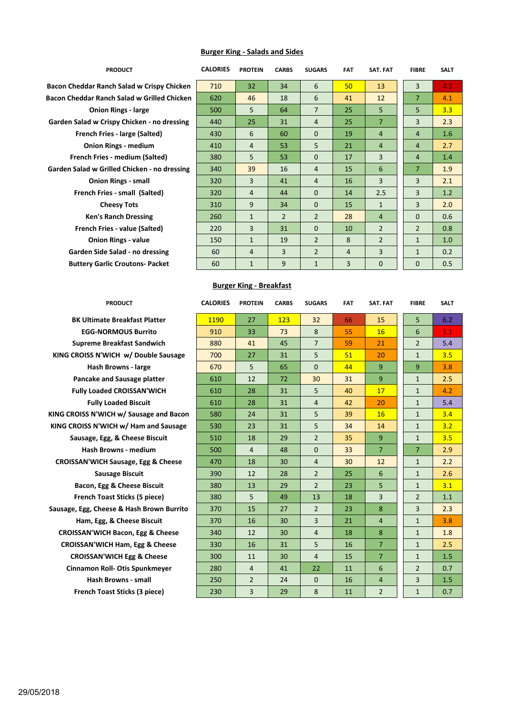### **Burger King - Salads and Sides**

| <b>PRODUCT</b>                               | <b>CALORIES</b> | <b>PROTEIN</b> | <b>CARBS</b>   | <b>SUGARS</b>  | <b>FAT</b> | <b>SAT. FAT</b> | <b>FIBRE</b>   | <b>SALT</b> |
|----------------------------------------------|-----------------|----------------|----------------|----------------|------------|-----------------|----------------|-------------|
| Bacon Cheddar Ranch Salad w Crispy Chicken   | 710             | 32             | 34             | 6              | 50         | 13              | 3              | 4.5         |
| Bacon Cheddar Ranch Salad w Grilled Chicken  | 620             | 46             | 18             | 6              | 41         | 12              | 7              | 4.1         |
| <b>Onion Rings - large</b>                   | 500             | 5              | 64             | $\overline{7}$ | 25         | 5.              | 5              | 3.3         |
| Garden Salad w Crispy Chicken - no dressing  | 440             | 25             | 31             | $\overline{4}$ | 25         | $\overline{7}$  | 3              | 2.3         |
| <b>French Fries - large (Salted)</b>         | 430             | 6              | 60             | $\Omega$       | 19         | 4               | 4              | 1.6         |
| <b>Onion Rings - medium</b>                  | 410             | 4              | 53             | 5              | 21         | 4               | 4              | 2.7         |
| <b>French Fries - medium (Salted)</b>        | 380             | 5              | 53             | $\Omega$       | 17         | 3               | 4              | 1.4         |
| Garden Salad w Grilled Chicken - no dressing | 340             | 39             | 16             | 4              | 15         | 6               | $\overline{7}$ | 1.9         |
| <b>Onion Rings - small</b>                   | 320             | 3              | 41             | 4              | 16         | 3               | 3              | 2.1         |
| French Fries - small (Salted)                | 320             | 4              | 44             | $\Omega$       | 14         | 2.5             | 3              | 1.2         |
| <b>Cheesy Tots</b>                           | 310             | 9              | 34             | $\Omega$       | 15         | $\mathbf{1}$    | 3              | 2.0         |
| <b>Ken's Ranch Dressing</b>                  | 260             | $\mathbf{1}$   | $\overline{2}$ | 2              | 28         | 4               | $\Omega$       | 0.6         |
| <b>French Fries - value (Salted)</b>         | 220             | 3              | 31             | $\Omega$       | 10         | $\mathcal{P}$   | $\mathcal{P}$  | 0.8         |
| <b>Onion Rings - value</b>                   | 150             | $\mathbf{1}$   | 19             | 2              | 8          | $\overline{2}$  | $\mathbf{1}$   | 1.0         |
| Garden Side Salad - no dressing              | 60              | 4              | 3              | 2              | 4          | 3               | $\mathbf{1}$   | 0.2         |
| <b>Buttery Garlic Croutons- Packet</b>       | 60              | 1              | 9              | 1              | 3          | 0               | $\mathbf 0$    | 0.5         |
|                                              |                 |                |                |                |            |                 |                |             |

### **Burger King - Breakfast**

| <b>PRODUCT</b>                | <b>CALORIES</b> | <b>PROTEIN</b> | <b>CARBS</b> | <b>SUGARS</b>  | FAT | SAT. FAT       | <b>FIBRE</b>   | <b>SALT</b> |
|-------------------------------|-----------------|----------------|--------------|----------------|-----|----------------|----------------|-------------|
| e Breakfast Platter           | 1190            | 27             | 123          | 32             | 66  | 15             | 5 <sup>5</sup> | 6.2         |
| <b>RMOUS Burrito</b>          | 910             | 33             | 73           | 8              | 55  | 16             | 6              | 5.1         |
| reakfast Sandwich             | 880             | 41             | 45           | $7^{\circ}$    | 59  | 21             | $\overline{2}$ | 5.4         |
| VICH w/ Double Sausage        | 700             | 27             | 31           | 5              | 51  | 20             | $\mathbf{1}$   | 3.5         |
| Browns - large                | 670             | 5              | 65           | $\mathbf{0}$   | 44  | 9 <sup>°</sup> | 9              | 3.8         |
| nd Sausage platter            | 610             | 12             | 72           | 30             | 31  | 9 <sup>°</sup> | $\mathbf{1}$   | 2.5         |
| ed CROISSAN'WICH              | 610             | 28             | 31           | 5              | 40  | 17             | $\mathbf{1}$   | 4.2         |
| oaded Biscuit.                | 610             | 28             | 31           | $\overline{4}$ | 42  | 20             | $\mathbf{1}$   | 5.4         |
| CH w/ Sausage and Bacon       | 580             | 24             | 31           | 5              | 39  | 16             | $\mathbf{1}$   | 3.4         |
| <b>ICH w/ Ham and Sausage</b> | 530             | 23             | 31           | 5              | 34  | 14             | $\mathbf{1}$   | 3.2         |
| g, & Cheese Biscuit           | 510             | 18             | 29           | $\overline{2}$ | 35  | 9              | $\mathbf{1}$   | 3.5         |
| owns - medium                 | 500             | $\overline{4}$ | 48           | $\mathbf{0}$   | 33  | 7 <sup>1</sup> | $\overline{7}$ | 2.9         |
| I Sausage, Egg & Cheese       | 470             | 18             | 30           | $\overline{4}$ | 30  | 12             | $\mathbf{1}$   | 2.2         |
| sage Biscuit                  | 390             | 12             | 28           | $\overline{2}$ | 25  | 6              | $\mathbf{1}$   | 2.6         |
| g & Cheese Biscuit            | 380             | 13             | 29           | $\overline{2}$ | 23  | 5              | $\mathbf{1}$   | 3.1         |
| ast Sticks (5 piece)          | 380             | 5              | 49           | 13             | 18  | $\overline{3}$ | $\overline{2}$ | 1.1         |
| ese & Hash Brown Burrito      | 370             | 15             | 27           | $\overline{2}$ | 23  | 8              | $\overline{3}$ | 2.3         |
| , & Cheese Biscuit            | 370             | 16             | 30           | $\overline{3}$ | 21  | $\overline{4}$ | $\mathbf{1}$   | 3.8         |
| H Bacon, Egg & Cheese         | 340             | 12             | 30           | $\overline{4}$ | 18  | 8              | $\mathbf{1}$   | 1.8         |
| CH Ham, Egg & Cheese          | 330             | 16             | 31           | 5              | 16  | $\overline{7}$ | $\mathbf{1}$   | 2.5         |
| WICH Egg & Cheese             | 300             | 11             | 30           | $\overline{4}$ | 15  | $\overline{7}$ | $\mathbf{1}$   | 1.5         |
| oll- Otis Spunkmeyer          | 280             | $\overline{4}$ | 41           | 22             | 11  | $6\phantom{.}$ | $\overline{2}$ | 0.7         |
| Browns - small                | 250             | $\overline{2}$ | 24           | $\mathbf{0}$   | 16  | $\overline{4}$ | $\overline{3}$ | 1.5         |
| ast Sticks (3 piece)          | 230             | $\overline{3}$ | 29           | 8              | 11  | $\overline{2}$ | $\mathbf{1}$   | 0.7         |
|                               |                 |                |              |                |     |                |                |             |

**BK Ultimate Breakfast Platter EGG-NORMOUS Burrito Supreme Breakfast Sandwich KING CROISS N'WICH w/ Double Sausage Hash Browns - large Pancake and Sausage platter Fully Loaded CROISSAN'WICH Fully Loaded Biscuit KING CROISS N'WICH w/ Sausage and Bacon KING CROISS N'WICH w/ Ham and Sausage** Sausage, Egg, & Cheese Biscuit **Hash Browns - medium CROISSAN'WICH Sausage, Egg & Cheese Sausage Biscuit Bacon, Egg & Cheese Biscuit French Toast Sticks (5 piece)** Sausage, Egg, Cheese & Hash Brown Burrito **Ham, Egg, & Cheese Biscuit CROISSAN'WICH Bacon, Egg & Cheese CROISSAN'WICH Ham, Egg & Cheese CROISSAN'WICH Egg & Cheese Cinnamon Roll- Otis Spunkmeyer Hash Browns - small French Toast Sticks (3 piece)**